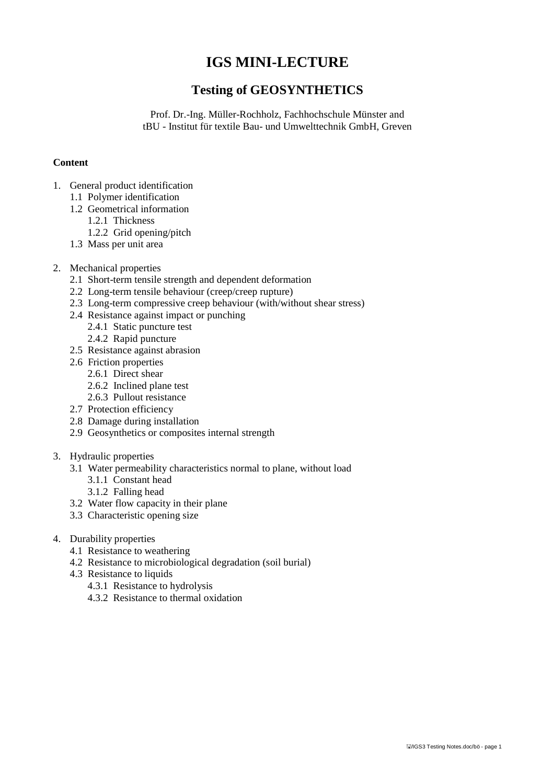# **IGS MINI-LECTURE**

## **Testing of GEOSYNTHETICS**

Prof. Dr.-Ing. Müller-Rochholz, Fachhochschule Münster and tBU - Institut für textile Bau- und Umwelttechnik GmbH, Greven

### **Content**

- 1. General product identification
	- 1.1 Polymer identification
	- 1.2 Geometrical information
		- 1.2.1 Thickness
		- 1.2.2 Grid opening/pitch
	- 1.3 Mass per unit area

### 2. Mechanical properties

- 2.1 Short-term tensile strength and dependent deformation
- 2.2 Long-term tensile behaviour (creep/creep rupture)
- 2.3 Long-term compressive creep behaviour (with/without shear stress)
- 2.4 Resistance against impact or punching
	- 2.4.1 Static puncture test
	- 2.4.2 Rapid puncture
- 2.5 Resistance against abrasion
- 2.6 Friction properties
	- 2.6.1 Direct shear
	- 2.6.2 Inclined plane test
	- 2.6.3 Pullout resistance
- 2.7 Protection efficiency
- 2.8 Damage during installation
- 2.9 Geosynthetics or composites internal strength

### 3. Hydraulic properties

- 3.1 Water permeability characteristics normal to plane, without load
	- 3.1.1 Constant head
	- 3.1.2 Falling head
- 3.2 Water flow capacity in their plane
- 3.3 Characteristic opening size
- 4. Durability properties
	- 4.1 Resistance to weathering
	- 4.2 Resistance to microbiological degradation (soil burial)
	- 4.3 Resistance to liquids
		- 4.3.1 Resistance to hydrolysis
		- 4.3.2 Resistance to thermal oxidation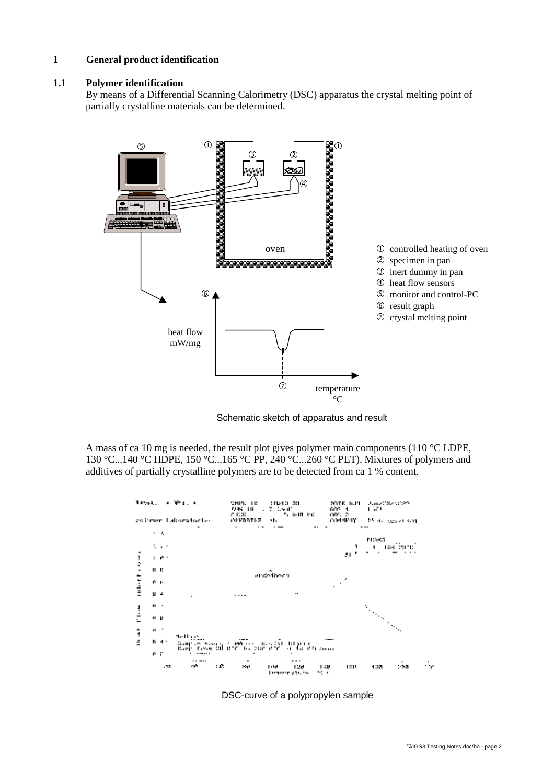### **1 General product identification**

#### **1.1 Polymer identification**

By means of a Differential Scanning Calorimetry (DSC) apparatus the crystal melting point of partially crystalline materials can be determined.



Schematic sketch of apparatus and result

A mass of ca 10 mg is needed, the result plot gives polymer main components (110 °C LDPE, 130 °C...140 °C HDPE, 150 °C...165 °C PP, 240 °C...260 °C PET). Mixtures of polymers and additives of partially crystalline polymers are to be detected from ca 1 % content.



DSC-curve of a polypropylen sample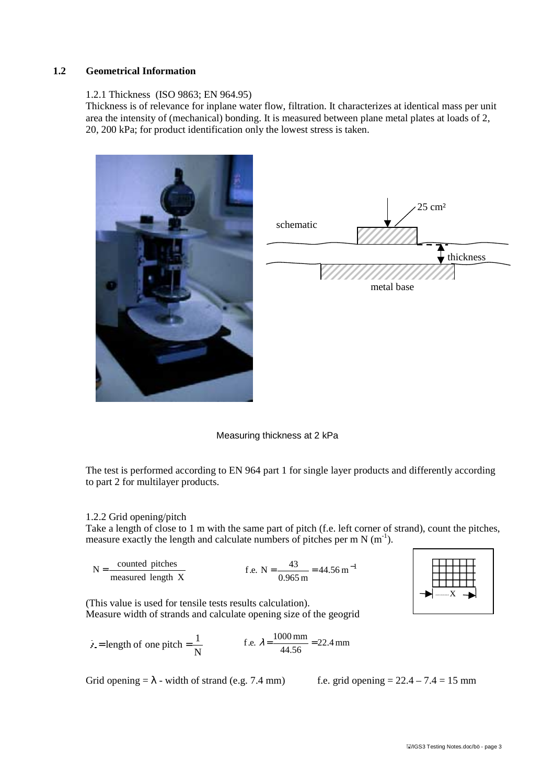#### **1.2 Geometrical Information**

#### 1.2.1 Thickness (ISO 9863; EN 964.95)

Thickness is of relevance for inplane water flow, filtration. It characterizes at identical mass per unit area the intensity of (mechanical) bonding. It is measured between plane metal plates at loads of 2, 20, 200 kPa; for product identification only the lowest stress is taken.



Measuring thickness at 2 kPa

The test is performed according to EN 964 part 1 for single layer products and differently according to part 2 for multilayer products.

#### 1.2.2 Grid opening/pitch

Take a length of close to 1 m with the same part of pitch (f.e. left corner of strand), count the pitches, measure exactly the length and calculate numbers of pitches per m N  $(m<sup>-1</sup>)$ .

$$
N = \frac{\text{counted^{i}}{\text{measured length X}}}{0.965 \text{ m}} = 44.56 \text{ m}^{-1}
$$



(This value is used for tensile tests results calculation). Measure width of strands and calculate opening size of the geogrid

$$
\lambda = \text{length of one pitch} = \frac{1}{N} \qquad \text{f.e. } \lambda = \frac{1000 \text{ mm}}{44.56} = 22.4 \text{ mm}
$$

Grid opening  $=\lambda$  - width of strand (e.g. 7.4 mm) f.e. grid opening  $= 22.4 - 7.4 = 15$  mm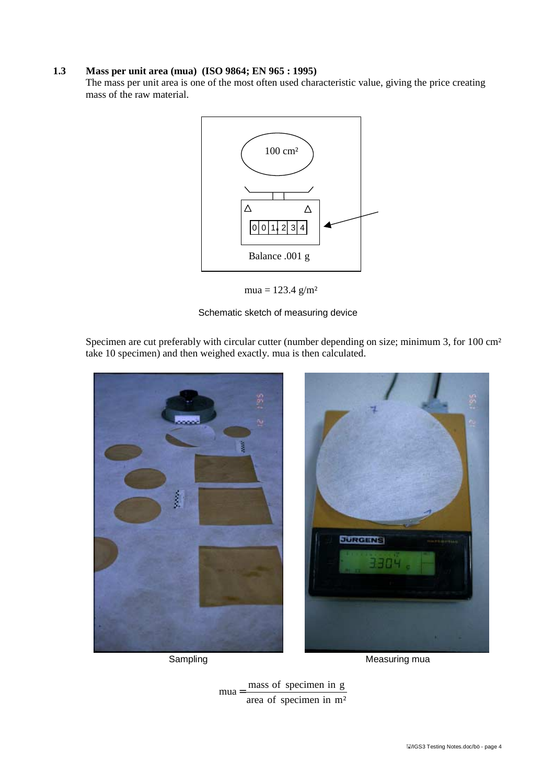### **1.3 Mass per unit area (mua) (ISO 9864; EN 965 : 1995)**

The mass per unit area is one of the most often used characteristic value, giving the price creating mass of the raw material.



 $mua = 123.4$  g/m<sup>2</sup>

Schematic sketch of measuring device

Specimen are cut preferably with circular cutter (number depending on size; minimum 3, for 100 cm<sup>2</sup> take 10 specimen) and then weighed exactly. mua is then calculated.



Sampling Measuring mua

area of specimen in m²  $mua = \frac{mass\ of\ specimen\ in\ g}{\frac{1}{2}}$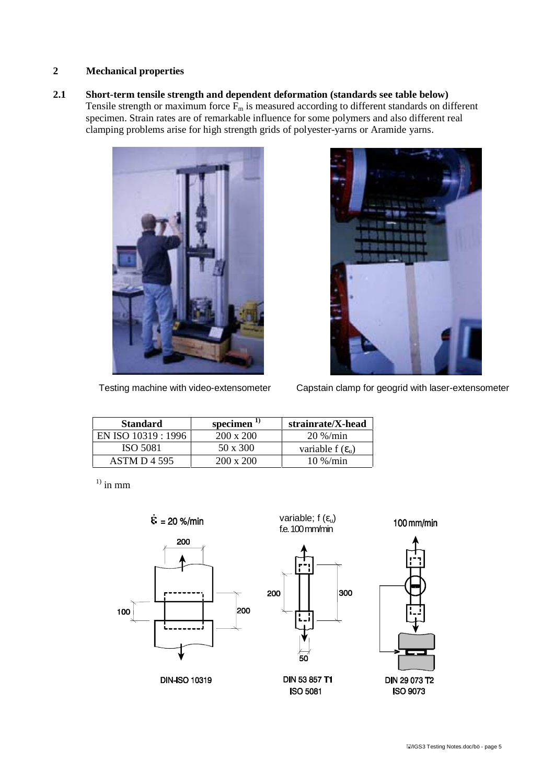### **2 Mechanical properties**

**2.1 Short-term tensile strength and dependent deformation (standards see table below)** Tensile strength or maximum force  $\overline{F}_m$  is measured according to different standards on different specimen. Strain rates are of remarkable influence for some polymers and also different real clamping problems arise for high strength grids of polyester-yarns or Aramide yarns.





Testing machine with video-extensometer Capstain clamp for geogrid with laser-extensometer

| <b>Standard</b>     | specimen $^{\prime\prime}$ | strainrate/X-head            |
|---------------------|----------------------------|------------------------------|
| EN ISO 10319 : 1996 | $200 \times 200$           | $20\%$ /min                  |
| ISO 5081            | 50 x 300                   | variable f $(\varepsilon_n)$ |
| ASTM D 4 595        | $200 \times 200$           | $10\% / min$                 |

 $^{1)}$  in mm



100 mm/min



**ISO 9073**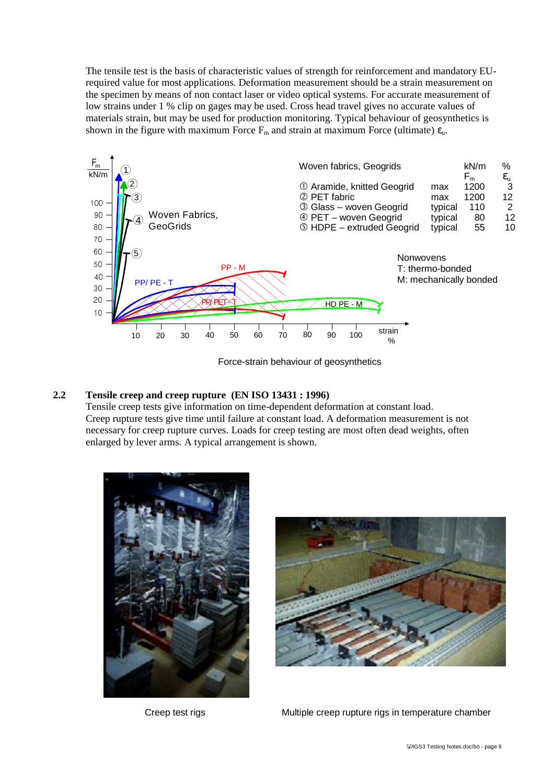The tensile test is the basis of characteristic values of strength for reinforcement and mandatory EUrequired value for most applications. Deformation measurement should be a strain measurement on the specimen by means of non contact laser or video optical systems. For accurate measurement of low strains under 1 % clip on gages may be used. Cross head travel gives no accurate values of materials strain, but may be used for production monitoring. Typical behaviour of geosynthetics is shown in the figure with maximum Force  $F_m$  and strain at maximum Force (ultimate)  $\varepsilon_u$ .



Force-strain behaviour of geosynthetics

### **2.2 Tensile creep and creep rupture (EN ISO 13431 : 1996)**

Tensile creep tests give information on time-dependent deformation at constant load. Creep rupture tests give time until failure at constant load. A deformation measurement is not necessary for creep rupture curves. Loads for creep testing are most often dead weights, often enlarged by lever arms. A typical arrangement is shown.





Creep test rigs **Multiple creep rupture rigs in temperature chamber**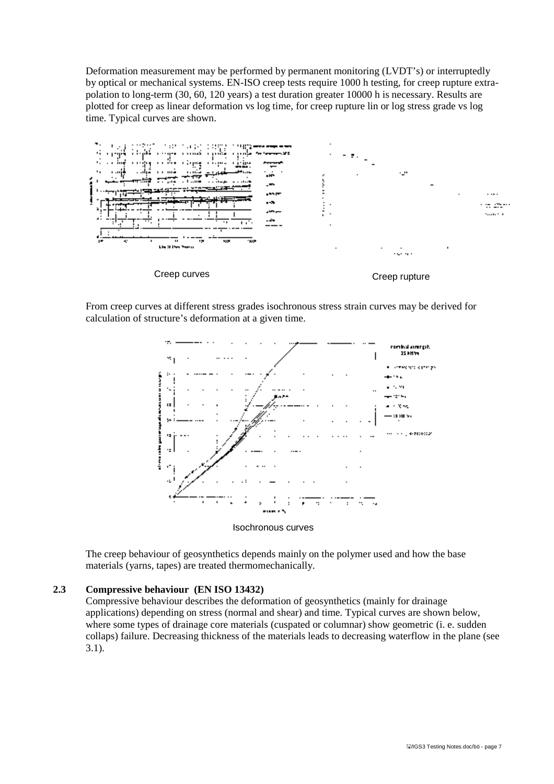Deformation measurement may be performed by permanent monitoring (LVDT's) or interruptedly by optical or mechanical systems. EN-ISO creep tests require 1000 h testing, for creep rupture extrapolation to long-term (30, 60, 120 years) a test duration greater 10000 h is necessary. Results are plotted for creep as linear deformation vs log time, for creep rupture lin or log stress grade vs log time. Typical curves are shown.



From creep curves at different stress grades isochronous stress strain curves may be derived for calculation of structure's deformation at a given time.



The creep behaviour of geosynthetics depends mainly on the polymer used and how the base materials (yarns, tapes) are treated thermomechanically.

#### **2.3 Compressive behaviour (EN ISO 13432)**

Compressive behaviour describes the deformation of geosynthetics (mainly for drainage applications) depending on stress (normal and shear) and time. Typical curves are shown below, where some types of drainage core materials (cuspated or columnar) show geometric (i. e. sudden collaps) failure. Decreasing thickness of the materials leads to decreasing waterflow in the plane (see 3.1).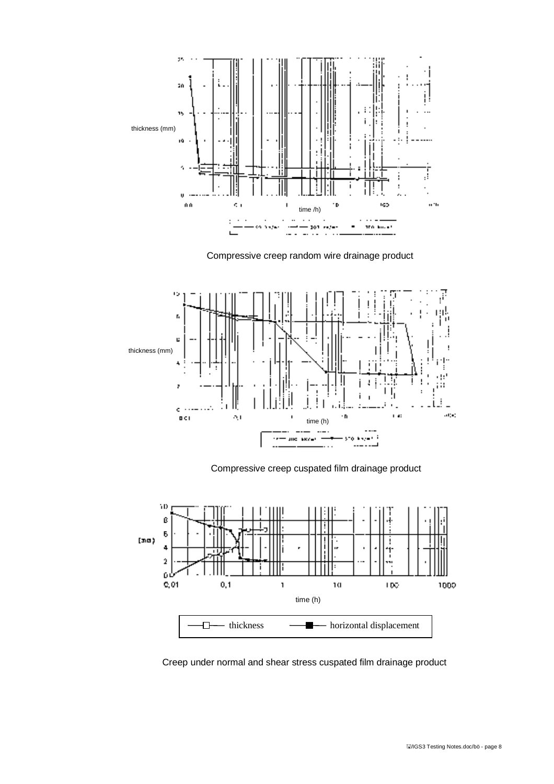

Compressive creep random wire drainage product



Compressive creep cuspated film drainage product



Creep under normal and shear stress cuspated film drainage product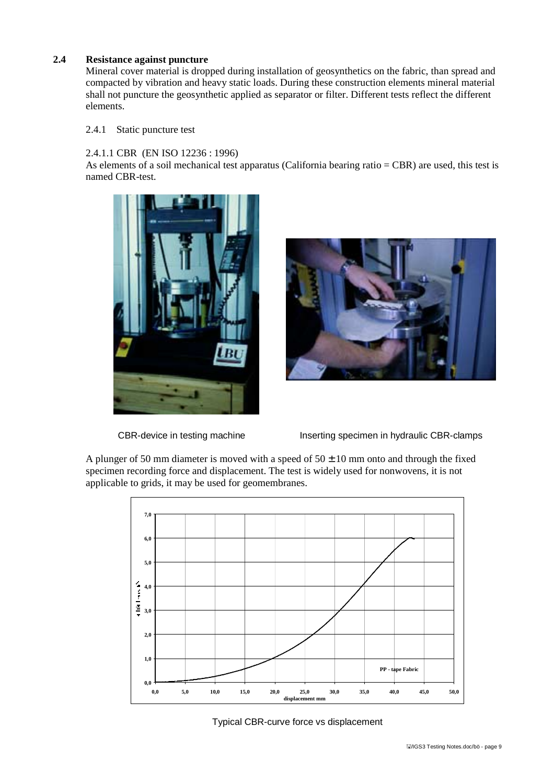### **2.4 Resistance against puncture**

Mineral cover material is dropped during installation of geosynthetics on the fabric, than spread and compacted by vibration and heavy static loads. During these construction elements mineral material shall not puncture the geosynthetic applied as separator or filter. Different tests reflect the different elements.

### 2.4.1 Static puncture test

### 2.4.1.1 CBR (EN ISO 12236 : 1996)

As elements of a soil mechanical test apparatus (California bearing ratio = CBR) are used, this test is named CBR-test.







CBR-device in testing machine Inserting specimen in hydraulic CBR-clamps

A plunger of 50 mm diameter is moved with a speed of  $50 \pm 10$  mm onto and through the fixed specimen recording force and displacement. The test is widely used for nonwovens, it is not applicable to grids, it may be used for geomembranes.



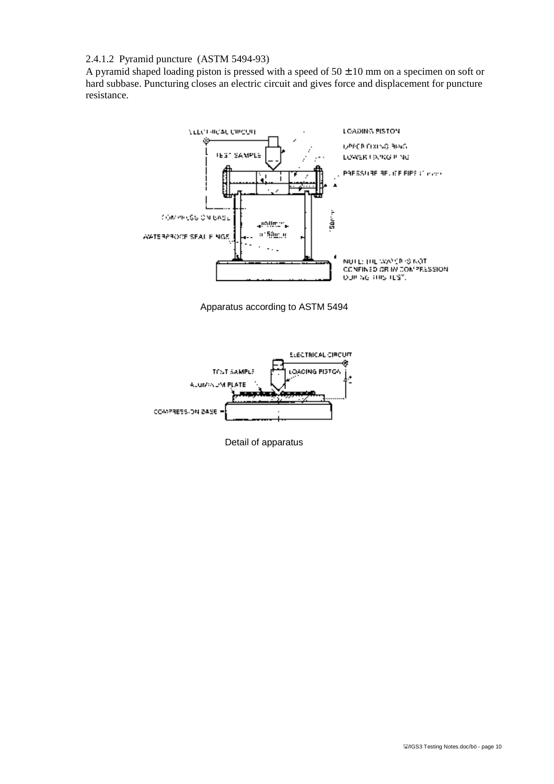### 2.4.1.2 Pyramid puncture (ASTM 5494-93)

A pyramid shaped loading piston is pressed with a speed of  $50 \pm 10$  mm on a specimen on soft or hard subbase. Puncturing closes an electric circuit and gives force and displacement for puncture resistance.







Detail of apparatus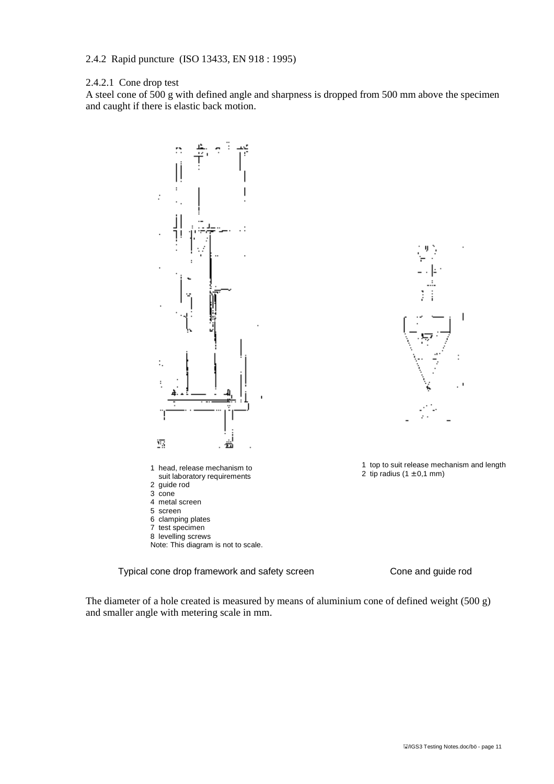### 2.4.2 Rapid puncture (ISO 13433, EN 918 : 1995)

#### 2.4.2.1 Cone drop test

A steel cone of 500 g with defined angle and sharpness is dropped from 500 mm above the specimen and caught if there is elastic back motion.





IJ

1 top to suit release mechanism and length 2 tip radius  $(1 \pm 0.1 \text{ mm})$ 

- 
- 
- 8 levelling screws
- Note: This diagram is not to scale.

Typical cone drop framework and safety screen Cone and guide rod

The diameter of a hole created is measured by means of aluminium cone of defined weight (500 g) and smaller angle with metering scale in mm.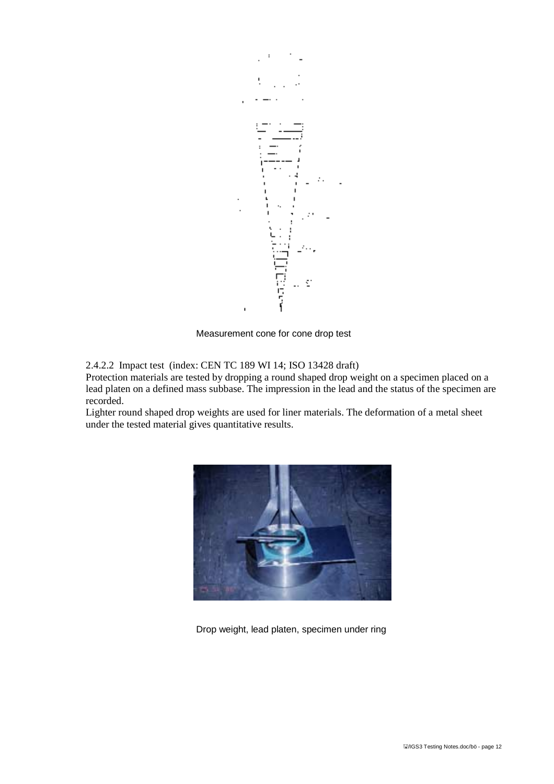

Measurement cone for cone drop test

2.4.2.2 Impact test (index: CEN TC 189 WI 14; ISO 13428 draft)

Protection materials are tested by dropping a round shaped drop weight on a specimen placed on a lead platen on a defined mass subbase. The impression in the lead and the status of the specimen are recorded.

Lighter round shaped drop weights are used for liner materials. The deformation of a metal sheet under the tested material gives quantitative results.



Drop weight, lead platen, specimen under ring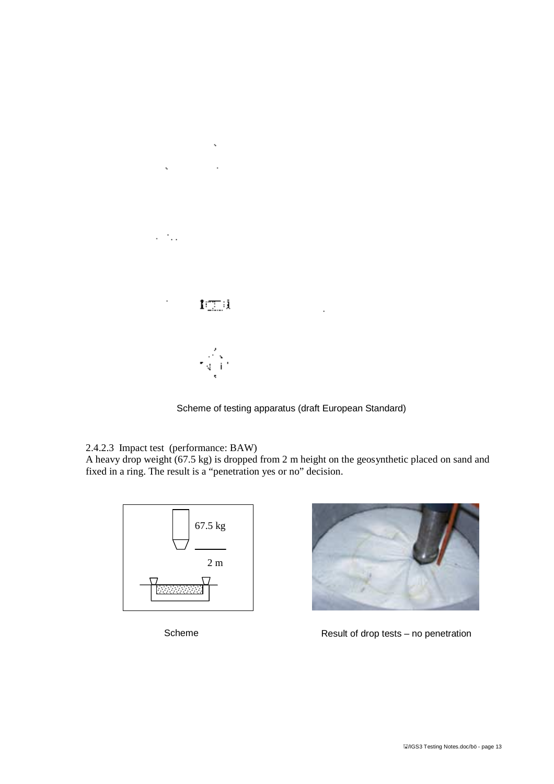

Scheme of testing apparatus (draft European Standard)

 $\ddot{\phantom{a}}$ 

2.4.2.3 Impact test (performance: BAW)

A heavy drop weight (67.5 kg) is dropped from 2 m height on the geosynthetic placed on sand and fixed in a ring. The result is a "penetration yes or no" decision.





Scheme Result of drop tests – no penetration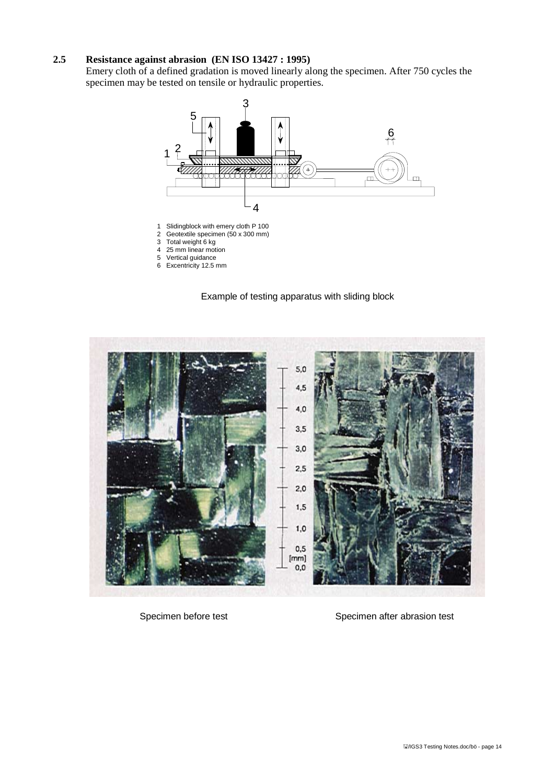### **2.5 Resistance against abrasion (EN ISO 13427 : 1995)**

Emery cloth of a defined gradation is moved linearly along the specimen. After 750 cycles the specimen may be tested on tensile or hydraulic properties.



Example of testing apparatus with sliding block



Specimen before test Specimen after abrasion test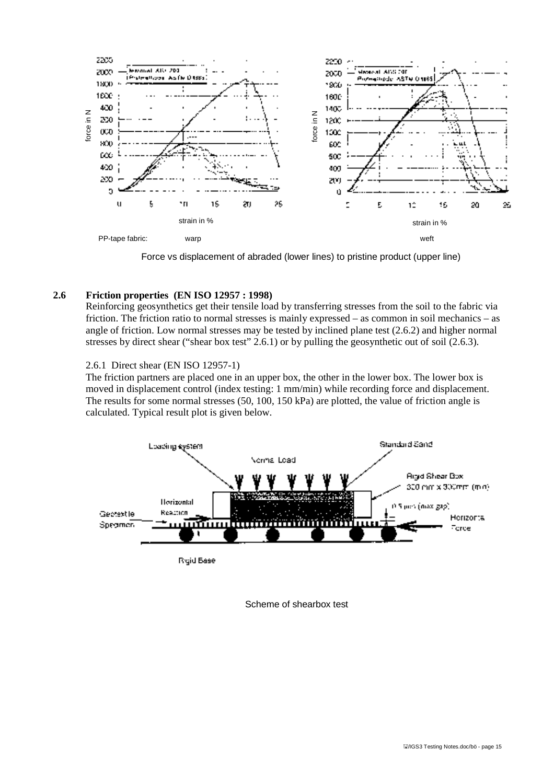

Force vs displacement of abraded (lower lines) to pristine product (upper line)

#### **2.6 Friction properties (EN ISO 12957 : 1998)**

Reinforcing geosynthetics get their tensile load by transferring stresses from the soil to the fabric via friction. The friction ratio to normal stresses is mainly expressed – as common in soil mechanics – as angle of friction. Low normal stresses may be tested by inclined plane test (2.6.2) and higher normal stresses by direct shear ("shear box test" 2.6.1) or by pulling the geosynthetic out of soil (2.6.3).

#### 2.6.1 Direct shear (EN ISO 12957-1)

The friction partners are placed one in an upper box, the other in the lower box. The lower box is moved in displacement control (index testing: 1 mm/min) while recording force and displacement. The results for some normal stresses (50, 100, 150 kPa) are plotted, the value of friction angle is



Scheme of shearbox test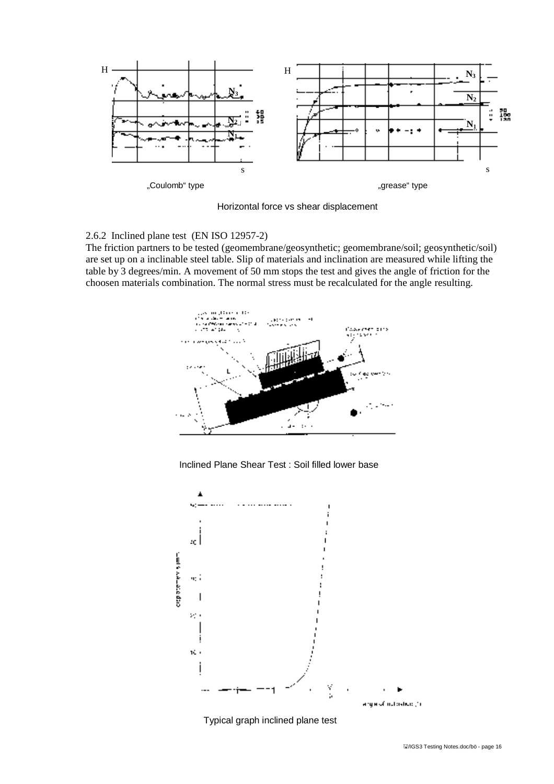

Horizontal force vs shear displacement

2.6.2 Inclined plane test (EN ISO 12957-2)

The friction partners to be tested (geomembrane/geosynthetic; geomembrane/soil; geosynthetic/soil) are set up on a inclinable steel table. Slip of materials and inclination are measured while lifting the table by 3 degrees/min. A movement of 50 mm stops the test and gives the angle of friction for the choosen materials combination. The normal stress must be recalculated for the angle resulting.



Inclined Plane Shear Test : Soil filled lower base



Typical graph inclined plane test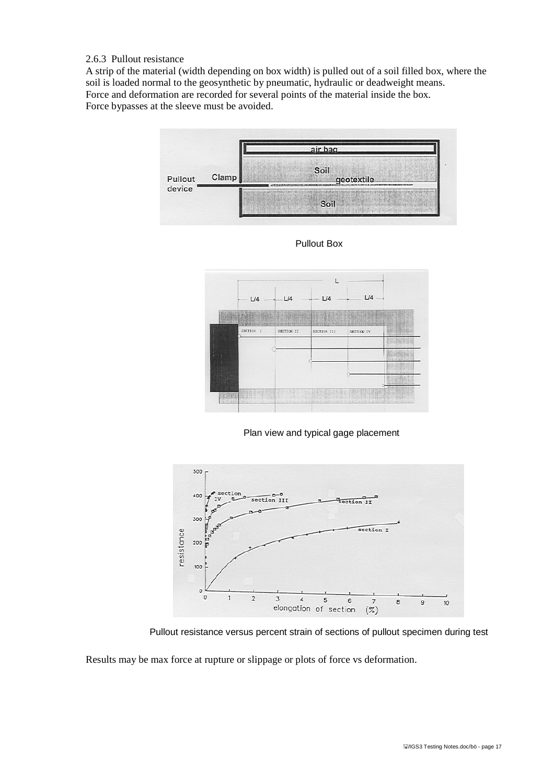### 2.6.3 Pullout resistance

A strip of the material (width depending on box width) is pulled out of a soil filled box, where the soil is loaded normal to the geosynthetic by pneumatic, hydraulic or deadweight means. Force and deformation are recorded for several points of the material inside the box. Force bypasses at the sleeve must be avoided.





Pullout Box





Pullout resistance versus percent strain of sections of pullout specimen during test

Results may be max force at rupture or slippage or plots of force vs deformation.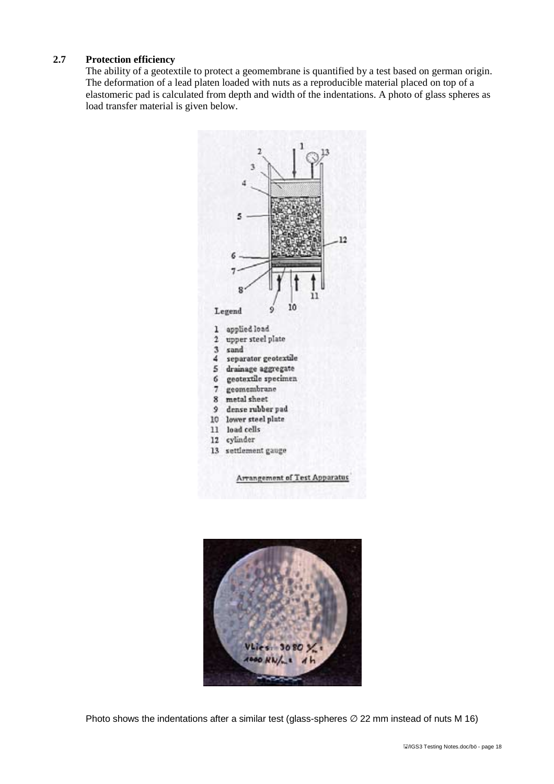### **2.7 Protection efficiency**

The ability of a geotextile to protect a geomembrane is quantified by a test based on german origin. The deformation of a lead platen loaded with nuts as a reproducible material placed on top of a elastomeric pad is calculated from depth and width of the indentations. A photo of glass spheres as load transfer material is given below.





Photo shows the indentations after a similar test (glass-spheres  $\varnothing$  22 mm instead of nuts M 16)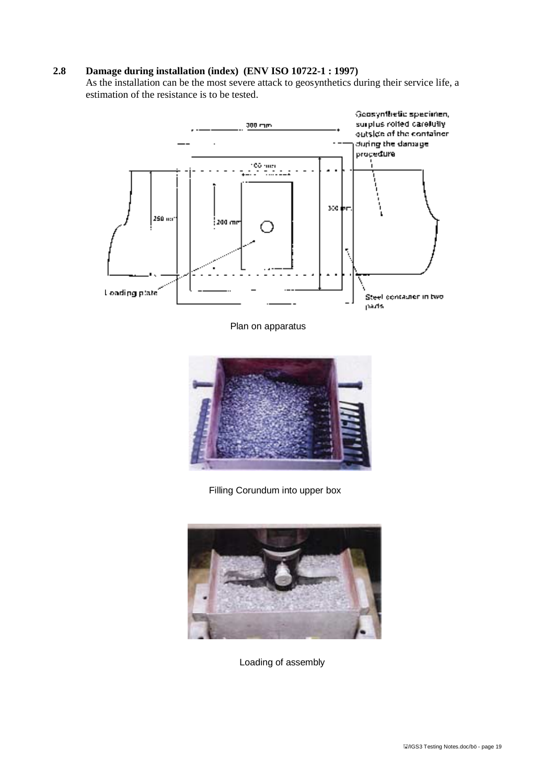### **2.8 Damage during installation (index) (ENV ISO 10722-1 : 1997)**

As the installation can be the most severe attack to geosynthetics during their service life, a estimation of the resistance is to be tested.



Plan on apparatus



Filling Corundum into upper box



Loading of assembly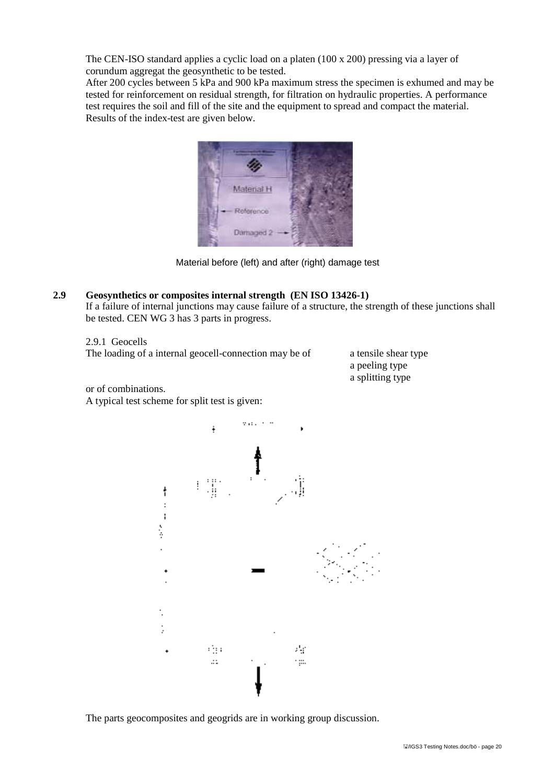The CEN-ISO standard applies a cyclic load on a platen (100 x 200) pressing via a layer of corundum aggregat the geosynthetic to be tested.

After 200 cycles between 5 kPa and 900 kPa maximum stress the specimen is exhumed and may be tested for reinforcement on residual strength, for filtration on hydraulic properties. A performance test requires the soil and fill of the site and the equipment to spread and compact the material. Results of the index-test are given below.



Material before (left) and after (right) damage test

#### **2.9 Geosynthetics or composites internal strength (EN ISO 13426-1)**

If a failure of internal junctions may cause failure of a structure, the strength of these junctions shall be tested. CEN WG 3 has 3 parts in progress.

2.9.1 Geocells The loading of a internal geocell-connection may be of a tensile shear type

a peeling type a splitting type

or of combinations. A typical test scheme for split test is given:



The parts geocomposites and geogrids are in working group discussion.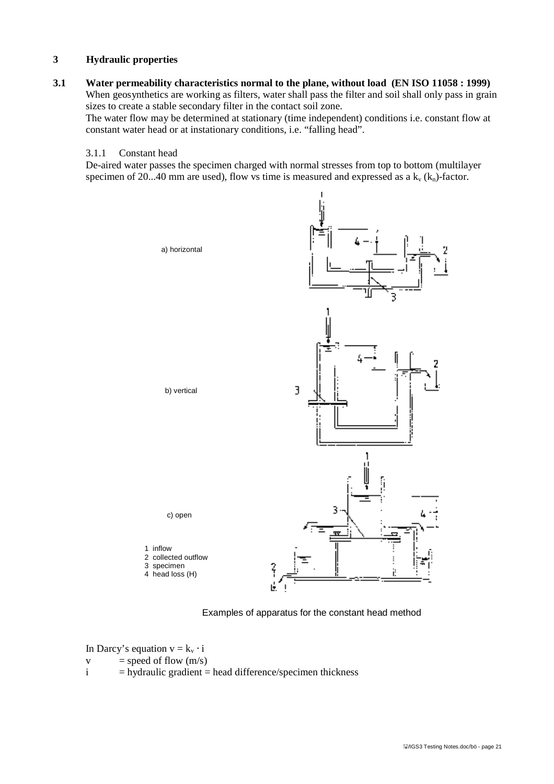### **3 Hydraulic properties**

**3.1 Water permeability characteristics normal to the plane, without load (EN ISO 11058 : 1999)** When geosynthetics are working as filters, water shall pass the filter and soil shall only pass in grain sizes to create a stable secondary filter in the contact soil zone.

The water flow may be determined at stationary (time independent) conditions i.e. constant flow at constant water head or at instationary conditions, i.e. "falling head".

#### 3.1.1 Constant head

De-aired water passes the specimen charged with normal stresses from top to bottom (multilayer specimen of 20...40 mm are used), flow vs time is measured and expressed as a  $k_y$  ( $k_n$ )-factor.



Examples of apparatus for the constant head method

In Darcy's equation  $v = k_v \cdot i$ 

- $v = speed of flow (m/s)$
- $i =$  hydraulic gradient = head difference/specimen thickness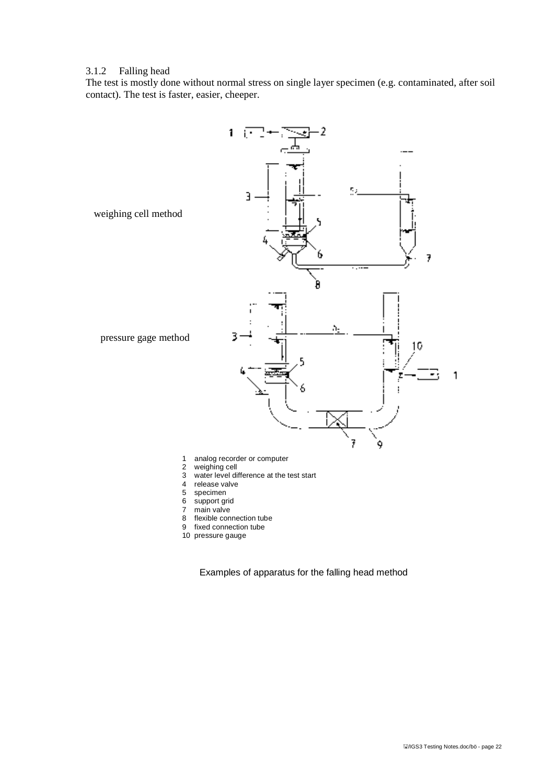#### 3.1.2 Falling head

The test is mostly done without normal stress on single layer specimen (e.g. contaminated, after soil contact). The test is faster, easier, cheeper.



- 1 analog recorder or computer
- 2 weighing cell<br>3 water level di
- 3 water level difference at the test start<br>4 release valve
- 4 release valve<br>5 specimen
- 5 specimen
- 6 support grid<br>7 main valve
- 7 main valve<br>8 flexible con
- flexible connection tube
- 9 fixed connection tube
- 10 pressure gauge

Examples of apparatus for the falling head method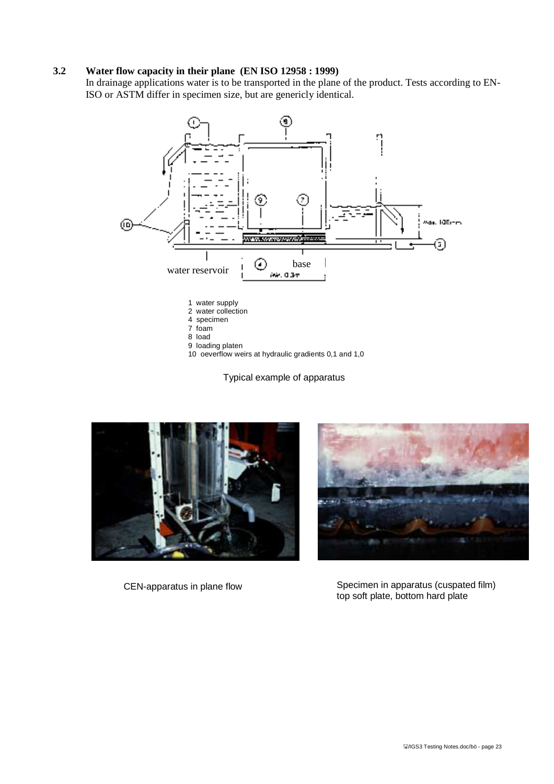#### **3.2 Water flow capacity in their plane (EN ISO 12958 : 1999)**

In drainage applications water is to be transported in the plane of the product. Tests according to EN-ISO or ASTM differ in specimen size, but are genericly identical.



10 oeverflow weirs at hydraulic gradients 0,1 and 1,0

Typical example of apparatus





CEN-apparatus in plane flow Specimen in apparatus (cuspated film) top soft plate, bottom hard plate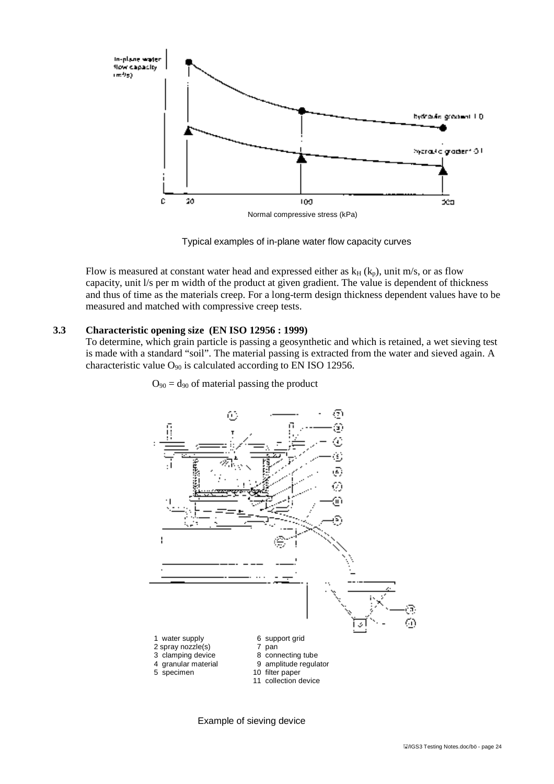

Typical examples of in-plane water flow capacity curves

Flow is measured at constant water head and expressed either as  $k_H$  ( $k_p$ ), unit m/s, or as flow capacity, unit l/s per m width of the product at given gradient. The value is dependent of thickness and thus of time as the materials creep. For a long-term design thickness dependent values have to be measured and matched with compressive creep tests.

#### **3.3 Characteristic opening size (EN ISO 12956 : 1999)**

To determine, which grain particle is passing a geosynthetic and which is retained, a wet sieving test is made with a standard "soil". The material passing is extracted from the water and sieved again. A characteristic value  $O_{90}$  is calculated according to EN ISO 12956.

 $O_{90} = d_{90}$  of material passing the product



Example of sieving device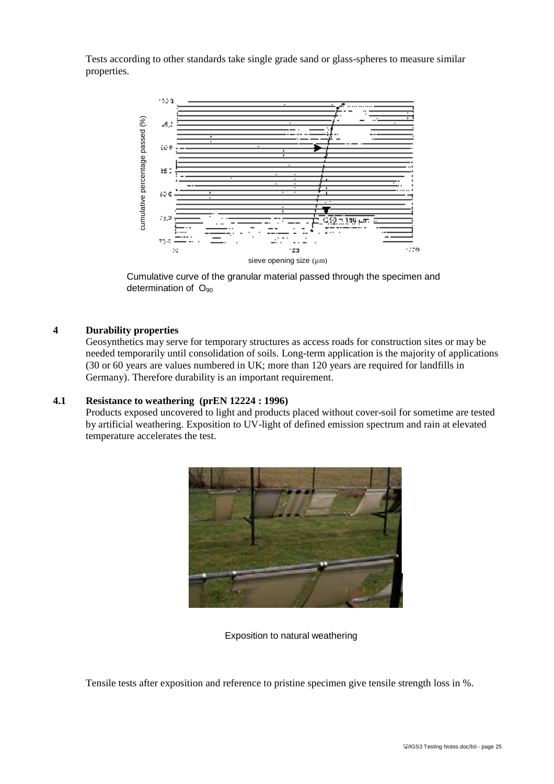Tests according to other standards take single grade sand or glass-spheres to measure similar properties.



Cumulative curve of the granular material passed through the specimen and

#### **4 Durability properties**

Geosynthetics may serve for temporary structures as access roads for construction sites or may be needed temporarily until consolidation of soils. Long-term application is the majority of applications (30 or 60 years are values numbered in UK; more than 120 years are required for landfills in Germany). Therefore durability is an important requirement.

#### **4.1 Resistance to weathering (prEN 12224 : 1996)**

Products exposed uncovered to light and products placed without cover-soil for sometime are tested by artificial weathering. Exposition to UV-light of defined emission spectrum and rain at elevated temperature accelerates the test.



Exposition to natural weathering

Tensile tests after exposition and reference to pristine specimen give tensile strength loss in %.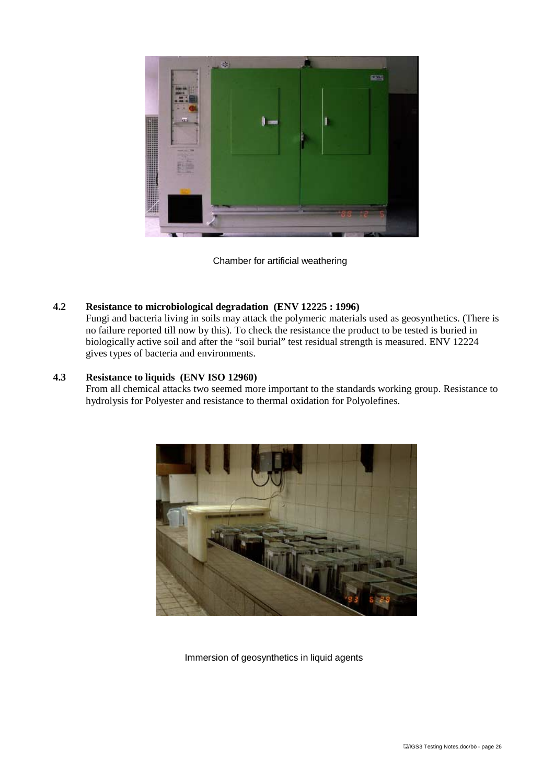

Chamber for artificial weathering

### **4.2 Resistance to microbiological degradation (ENV 12225 : 1996)**

Fungi and bacteria living in soils may attack the polymeric materials used as geosynthetics. (There is no failure reported till now by this). To check the resistance the product to be tested is buried in biologically active soil and after the "soil burial" test residual strength is measured. ENV 12224 gives types of bacteria and environments.

### **4.3 Resistance to liquids (ENV ISO 12960)**

From all chemical attacks two seemed more important to the standards working group. Resistance to hydrolysis for Polyester and resistance to thermal oxidation for Polyolefines.



Immersion of geosynthetics in liquid agents